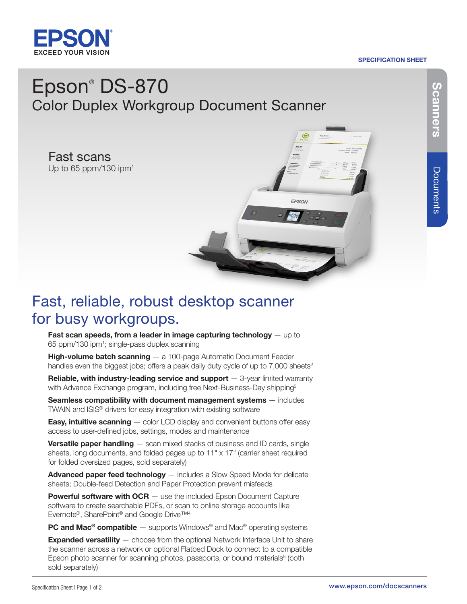

### SPECIFICATION SHEET

# Epson® DS-870 Color Duplex Workgroup Document Scanner

Fast scans Up to 65 ppm/130 ipm<sup>1</sup>



## Fast, reliable, robust desktop scanner for busy workgroups.

Fast scan speeds, from a leader in image capturing technology  $-$  up to 65 ppm/130 ipm1 ; single-pass duplex scanning

**High-volume batch scanning**  $-$  a 100-page Automatic Document Feeder handles even the biggest jobs; offers a peak daily duty cycle of up to  $7,000$  sheets<sup>2</sup>

**Reliable, with industry-leading service and support**  $-$  3-year limited warranty with Advance Exchange program, including free Next-Business-Day shipping<sup>3</sup>

Seamless compatibility with document management systems - includes TWAIN and ISIS® drivers for easy integration with existing software

**Easy, intuitive scanning** - color LCD display and convenient buttons offer easy access to user-defined jobs, settings, modes and maintenance

**Versatile paper handling**  $-$  scan mixed stacks of business and ID cards, single sheets, long documents, and folded pages up to 11" x 17" (carrier sheet required for folded oversized pages, sold separately)

Advanced paper feed technology — includes a Slow Speed Mode for delicate sheets; Double-feed Detection and Paper Protection prevent misfeeds

**Powerful software with OCR** — use the included Epson Document Capture software to create searchable PDFs, or scan to online storage accounts like Evernote®, SharePoint® and Google Drive™4

**PC and Mac<sup>®</sup> compatible** — supports Windows<sup>®</sup> and Mac<sup>®</sup> operating systems

**Expanded versatility** - choose from the optional Network Interface Unit to share the scanner across a network or optional Flatbed Dock to connect to a compatible Epson photo scanner for scanning photos, passports, or bound materials<sup>5</sup> (both sold separately)